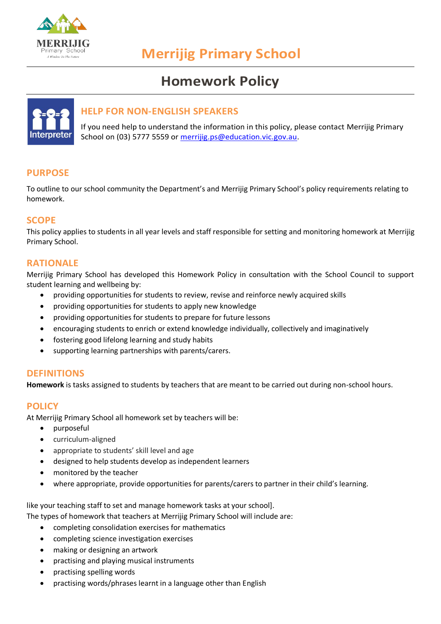

# **Merrijig Primary School**

## **Homework Policy**



## **HELP FOR NON-ENGLISH SPEAKERS**

If you need help to understand the information in this policy, please contact Merrijig Primary School on (03) 5777 5559 or [merrijig.ps@education.vic.gov.au.](mailto:merrijig.ps@education.vic.gov.au)

## **PURPOSE**

To outline to our school community the Department's and Merrijig Primary School's policy requirements relating to homework.

## **SCOPE**

This policy applies to students in all year levels and staff responsible for setting and monitoring homework at Merrijig Primary School.

## **RATIONALE**

Merrijig Primary School has developed this Homework Policy in consultation with the School Council to support student learning and wellbeing by:

- providing opportunities for students to review, revise and reinforce newly acquired skills
- providing opportunities for students to apply new knowledge
- providing opportunities for students to prepare for future lessons
- encouraging students to enrich or extend knowledge individually, collectively and imaginatively
- fostering good lifelong learning and study habits
- supporting learning partnerships with parents/carers.

## **DEFINITIONS**

**Homework** is tasks assigned to students by teachers that are meant to be carried out during non-school hours.

#### **POLICY**

At Merrijig Primary School all homework set by teachers will be:

- purposeful
- curriculum-aligned
- appropriate to students' skill level and age
- designed to help students develop as independent learners
- monitored by the teacher
- where appropriate, provide opportunities for parents/carers to partner in their child's learning.

like your teaching staff to set and manage homework tasks at your school].

The types of homework that teachers at Merrijig Primary School will include are:

- completing consolidation exercises for mathematics
- completing science investigation exercises
- making or designing an artwork
- practising and playing musical instruments
- practising spelling words
- practising words/phrases learnt in a language other than English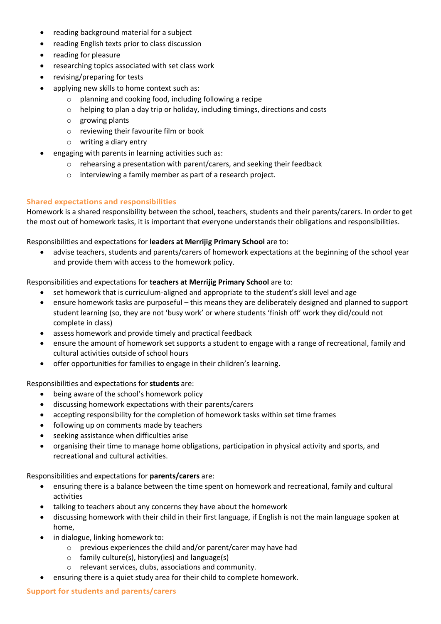- reading background material for a subject
- reading English texts prior to class discussion
- reading for pleasure
- researching topics associated with set class work
- revising/preparing for tests
- applying new skills to home context such as:
	- o planning and cooking food, including following a recipe
	- o helping to plan a day trip or holiday, including timings, directions and costs
	- o growing plants
	- o reviewing their favourite film or book
	- o writing a diary entry
- engaging with parents in learning activities such as:
	- $\circ$  rehearsing a presentation with parent/carers, and seeking their feedback
	- o interviewing a family member as part of a research project.

#### **Shared expectations and responsibilities**

Homework is a shared responsibility between the school, teachers, students and their parents/carers. In order to get the most out of homework tasks, it is important that everyone understands their obligations and responsibilities.

#### Responsibilities and expectations for **leaders at Merrijig Primary School** are to:

advise teachers, students and parents/carers of homework expectations at the beginning of the school year and provide them with access to the homework policy.

#### Responsibilities and expectations for **teachers at Merrijig Primary School** are to:

- set homework that is curriculum-aligned and appropriate to the student's skill level and age
- ensure homework tasks are purposeful this means they are deliberately designed and planned to support student learning (so, they are not 'busy work' or where students 'finish off' work they did/could not complete in class)
- assess homework and provide timely and practical feedback
- ensure the amount of homework set supports a student to engage with a range of recreational, family and cultural activities outside of school hours
- offer opportunities for families to engage in their children's learning.

#### Responsibilities and expectations for **students** are:

- being aware of the school's homework policy
- discussing homework expectations with their parents/carers
- accepting responsibility for the completion of homework tasks within set time frames
- following up on comments made by teachers
- seeking assistance when difficulties arise
- organising their time to manage home obligations, participation in physical activity and sports, and recreational and cultural activities.

#### Responsibilities and expectations for **parents/carers** are:

- ensuring there is a balance between the time spent on homework and recreational, family and cultural activities
- talking to teachers about any concerns they have about the homework
- discussing homework with their child in their first language, if English is not the main language spoken at home,
- in dialogue, linking homework to:
	- o previous experiences the child and/or parent/carer may have had
	- o family culture(s), history(ies) and language(s)
	- o relevant services, clubs, associations and community.
- ensuring there is a quiet study area for their child to complete homework.

#### **Support for students and parents/carers**